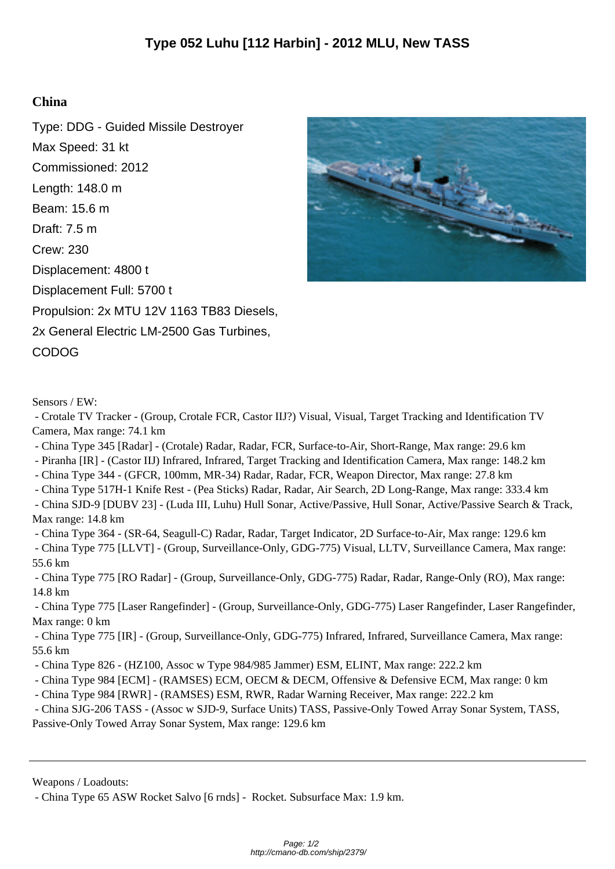## **China**

Type: DDG - Guided Missile Destroyer Max Speed: 31 kt Commissioned: 2012 Length: 148.0 m Beam: 15.6 m Draft: 7.5 m Crew: 230 Displacement: 4800 t Displacement Full: 5700 t Propulsion: 2x MTU 12V 1163 TB83 Diesels, 2x General Electric LM-2500 Gas Turbines, CODOG



Sensors / EW:

 - Crotale TV Tracker - (Group, Crotale FCR, Castor IIJ?) Visual, Visual, Target Tracking and Identification TV Camera, Max range: 74.1 km

- China Type 345 [Radar] (Crotale) Radar, Radar, FCR, Surface-to-Air, Short-Range, Max range: 29.6 km
- Piranha [IR] (Castor IIJ) Infrared, Infrared, Target Tracking and Identification Camera, Max range: 148.2 km

- China Type 344 - (GFCR, 100mm, MR-34) Radar, Radar, FCR, Weapon Director, Max range: 27.8 km

- China Type 517H-1 Knife Rest - (Pea Sticks) Radar, Radar, Air Search, 2D Long-Range, Max range: 333.4 km

 - China SJD-9 [DUBV 23] - (Luda III, Luhu) Hull Sonar, Active/Passive, Hull Sonar, Active/Passive Search & Track, Max range: 14.8 km

- China Type 364 - (SR-64, Seagull-C) Radar, Radar, Target Indicator, 2D Surface-to-Air, Max range: 129.6 km

 - China Type 775 [LLVT] - (Group, Surveillance-Only, GDG-775) Visual, LLTV, Surveillance Camera, Max range: 55.6 km

 - China Type 775 [RO Radar] - (Group, Surveillance-Only, GDG-775) Radar, Radar, Range-Only (RO), Max range: 14.8 km

 - China Type 775 [Laser Rangefinder] - (Group, Surveillance-Only, GDG-775) Laser Rangefinder, Laser Rangefinder, Max range: 0 km

 - China Type 775 [IR] - (Group, Surveillance-Only, GDG-775) Infrared, Infrared, Surveillance Camera, Max range: 55.6 km

- China Type 826 (HZ100, Assoc w Type 984/985 Jammer) ESM, ELINT, Max range: 222.2 km
- China Type 984 [ECM] (RAMSES) ECM, OECM & DECM, Offensive & Defensive ECM, Max range: 0 km
- China Type 984 [RWR] (RAMSES) ESM, RWR, Radar Warning Receiver, Max range: 222.2 km
- China SJG-206 TASS (Assoc w SJD-9, Surface Units) TASS, Passive-Only Towed Array Sonar System, TASS,

Passive-Only Towed Array Sonar System, Max range: 129.6 km

Weapons / Loadouts:

 <sup>-</sup> China Type 65 ASW Rocket Salvo [6 rnds] - Rocket. Subsurface Max: 1.9 km.